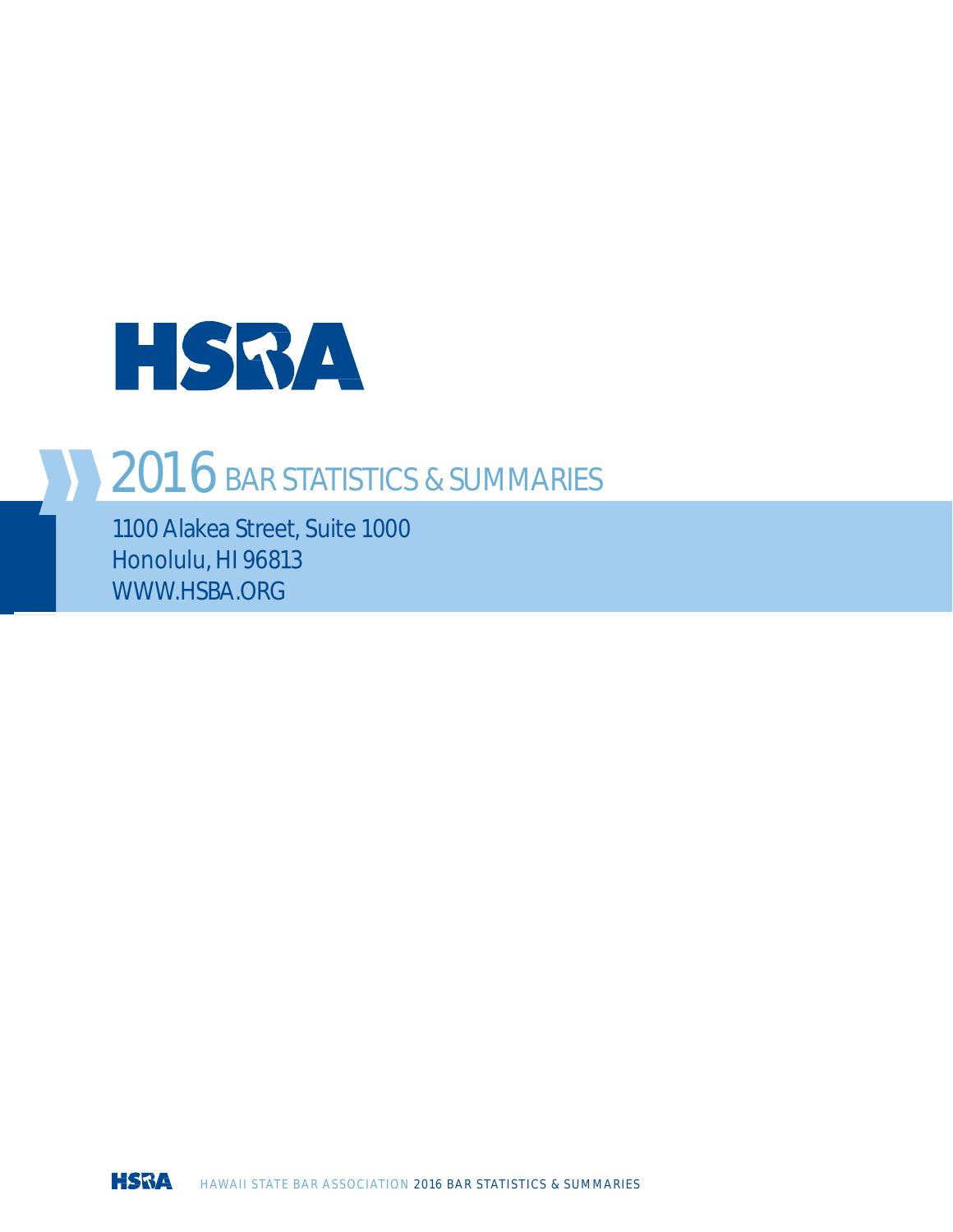

## 2016 BAR STATISTICS & SUMMARIES

1100 Alakea Street, Suite 1000 Honolulu, HI 96813 [WWW.HSBA.ORG](http://www.hsba.org/)

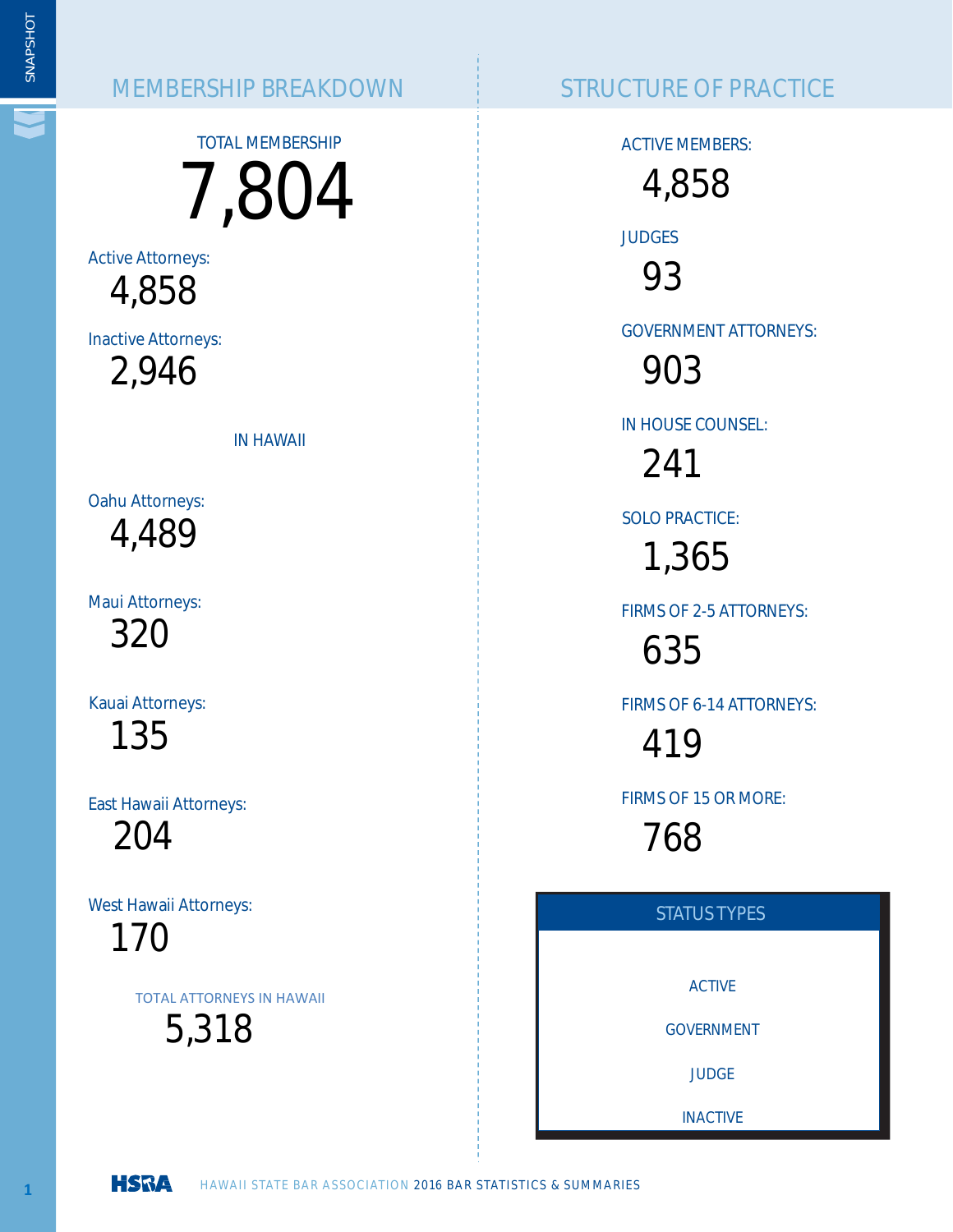#### MEMBERSHIP BREAKDOWN STRUCTURE OF PRACTICE

TOTAL MEMBERSHIP 7,804

Active Attorneys: 4,858

Inactive Attorneys:

2,946

IN HAWAII

Oahu Attorneys: 4,489

Maui Attorneys: 320

Kauai Attorneys:

135

East Hawaii Attorneys:

204

West Hawaii Attorneys:

170

TOTAL ATTORNEYS IN HAWAII

5,318

ACTIVE MEMBERS:

4,858

JUDGES

93

GOVERNMENT ATTORNEYS:

903

IN HOUSE COUNSEL:

241

SOLO PRACTICE:

1,365

FIRMS OF 2-5 ATTORNEYS:

635

FIRMS OF 6-14 ATTORNEYS:

419

FIRMS OF 15 OR MORE:

768



 $\overline{1}$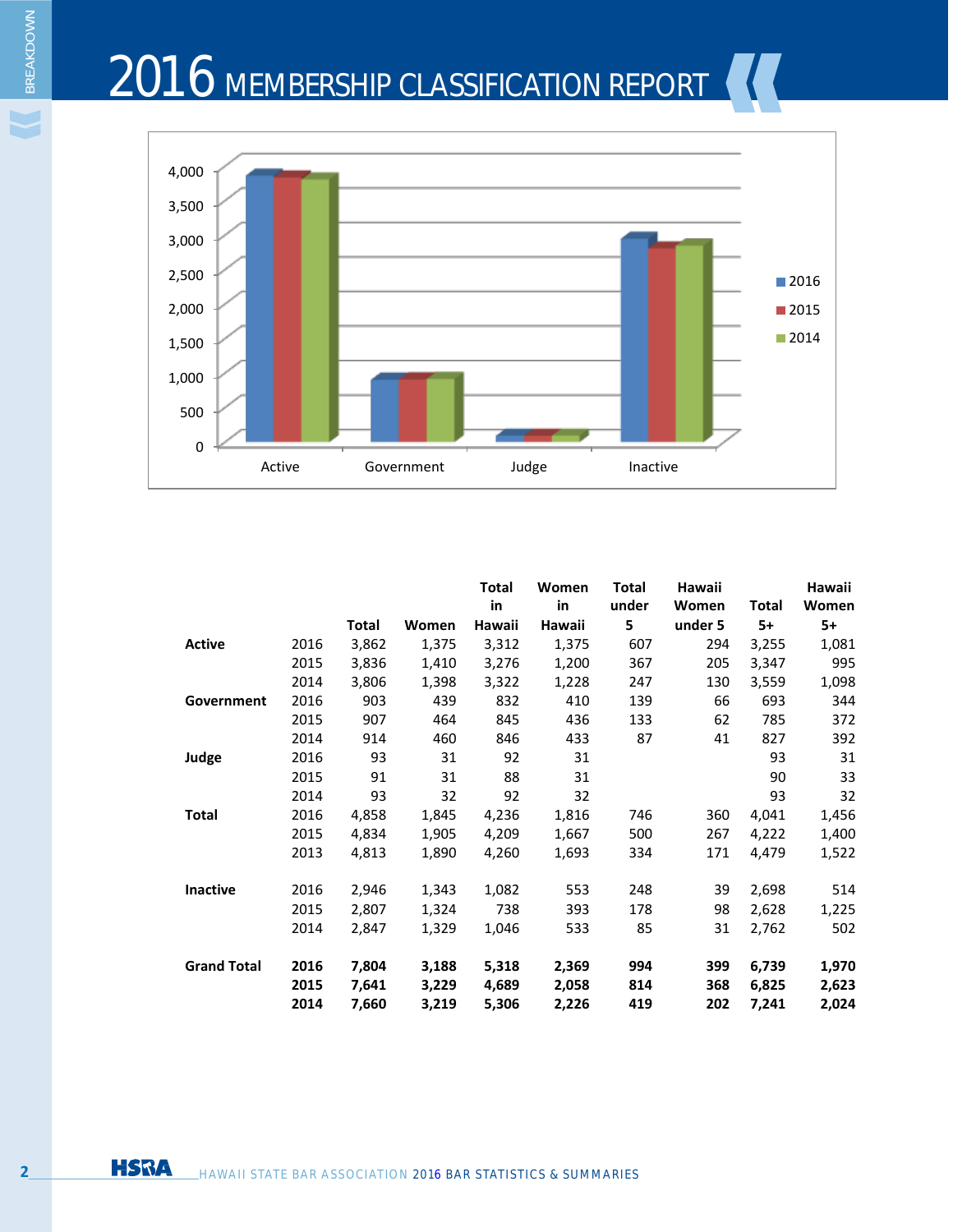# 2016 MEMBERSHIP CLASSIFICATION REPORT



|                    |      |       |       | Total  | Women  | Total | Hawaii  |              | Hawaii |
|--------------------|------|-------|-------|--------|--------|-------|---------|--------------|--------|
|                    |      |       |       | in     | in     | under | Women   | <b>Total</b> | Women  |
|                    |      | Total | Women | Hawaii | Hawaii | 5     | under 5 | $5+$         | $5+$   |
| <b>Active</b>      | 2016 | 3,862 | 1,375 | 3,312  | 1,375  | 607   | 294     | 3,255        | 1,081  |
|                    | 2015 | 3,836 | 1,410 | 3,276  | 1,200  | 367   | 205     | 3,347        | 995    |
|                    | 2014 | 3,806 | 1,398 | 3,322  | 1,228  | 247   | 130     | 3,559        | 1,098  |
| Government         | 2016 | 903   | 439   | 832    | 410    | 139   | 66      | 693          | 344    |
|                    | 2015 | 907   | 464   | 845    | 436    | 133   | 62      | 785          | 372    |
|                    | 2014 | 914   | 460   | 846    | 433    | 87    | 41      | 827          | 392    |
| Judge              | 2016 | 93    | 31    | 92     | 31     |       |         | 93           | 31     |
|                    | 2015 | 91    | 31    | 88     | 31     |       |         | 90           | 33     |
|                    | 2014 | 93    | 32    | 92     | 32     |       |         | 93           | 32     |
| <b>Total</b>       | 2016 | 4,858 | 1,845 | 4,236  | 1,816  | 746   | 360     | 4,041        | 1,456  |
|                    | 2015 | 4,834 | 1,905 | 4,209  | 1,667  | 500   | 267     | 4,222        | 1,400  |
|                    | 2013 | 4,813 | 1,890 | 4,260  | 1,693  | 334   | 171     | 4,479        | 1,522  |
| <b>Inactive</b>    | 2016 | 2,946 | 1,343 | 1,082  | 553    | 248   | 39      | 2,698        | 514    |
|                    | 2015 | 2,807 | 1,324 | 738    | 393    | 178   | 98      | 2,628        | 1,225  |
|                    | 2014 | 2,847 | 1,329 | 1,046  | 533    | 85    | 31      | 2,762        | 502    |
| <b>Grand Total</b> | 2016 | 7,804 | 3,188 | 5,318  | 2,369  | 994   | 399     | 6,739        | 1,970  |
|                    | 2015 | 7,641 | 3,229 | 4,689  | 2,058  | 814   | 368     | 6,825        | 2,623  |
|                    | 2014 | 7,660 | 3,219 | 5,306  | 2,226  | 419   | 202     | 7,241        | 2,024  |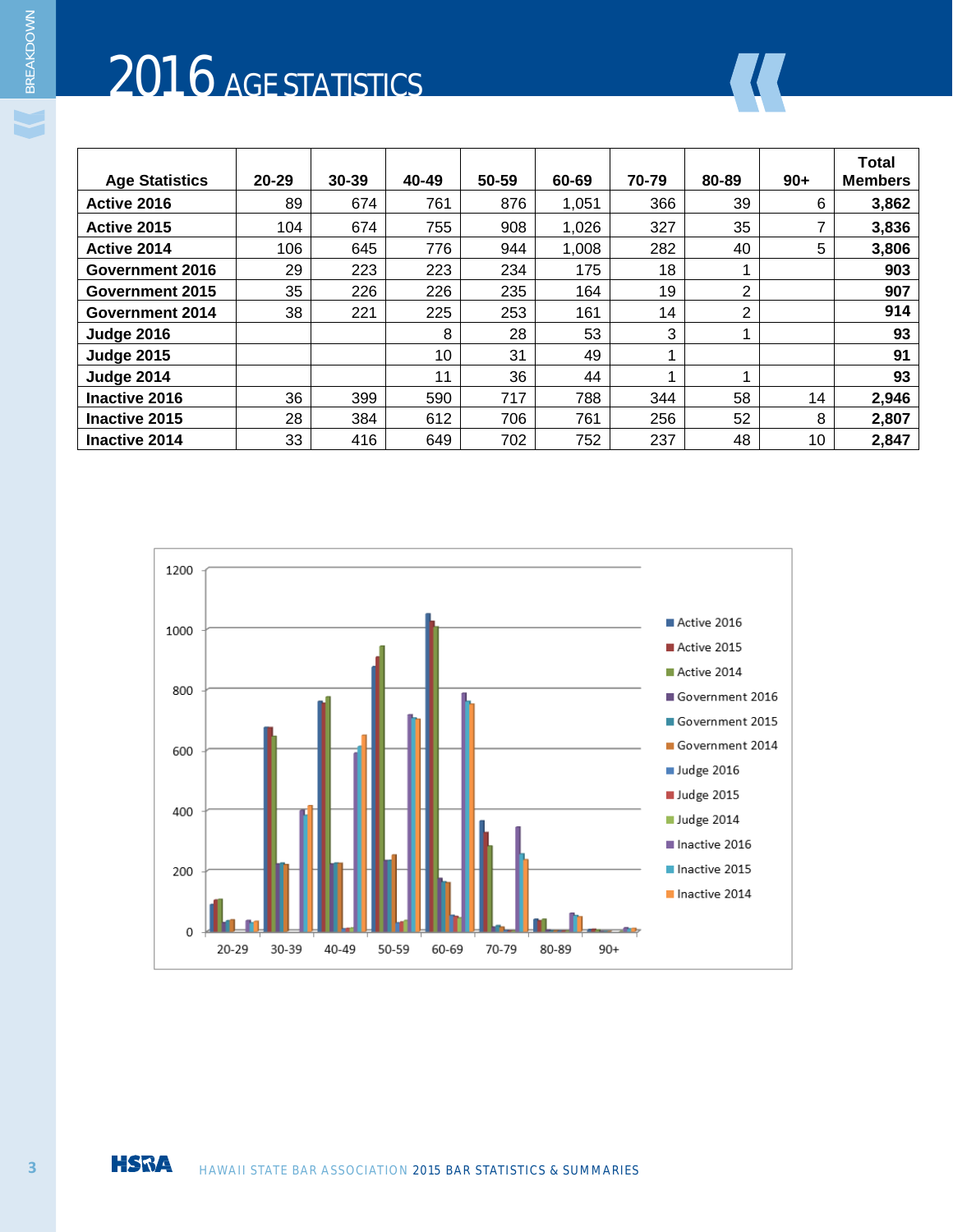# 2016 AGE STATISTICS

| <b>Age Statistics</b> | $20 - 29$ | 30-39 | 40-49 | 50-59 | 60-69 | 70-79 | 80-89 | $90+$ | <b>Total</b><br><b>Members</b> |
|-----------------------|-----------|-------|-------|-------|-------|-------|-------|-------|--------------------------------|
| Active 2016           | 89        | 674   | 761   | 876   | 1,051 | 366   | 39    | 6     | 3,862                          |
| Active 2015           | 104       | 674   | 755   | 908   | 1,026 | 327   | 35    |       | 3,836                          |
| Active 2014           | 106       | 645   | 776   | 944   | 1,008 | 282   | 40    | 5.    | 3,806                          |
| Government 2016       | 29        | 223   | 223   | 234   | 175   | 18    |       |       | 903                            |
| Government 2015       | 35        | 226   | 226   | 235   | 164   | 19    | 2     |       | 907                            |
| Government 2014       | 38        | 221   | 225   | 253   | 161   | 14    | 2     |       | 914                            |
| <b>Judge 2016</b>     |           |       | 8     | 28    | 53    | 3     |       |       | 93                             |
| <b>Judge 2015</b>     |           |       | 10    | 31    | 49    |       |       |       | 91                             |
| <b>Judge 2014</b>     |           |       | 11    | 36    | 44    |       |       |       | 93                             |
| Inactive 2016         | 36        | 399   | 590   | 717   | 788   | 344   | 58    | 14    | 2,946                          |
| Inactive 2015         | 28        | 384   | 612   | 706   | 761   | 256   | 52    | 8     | 2,807                          |
| Inactive 2014         | 33        | 416   | 649   | 702   | 752   | 237   | 48    | 10    | 2,847                          |

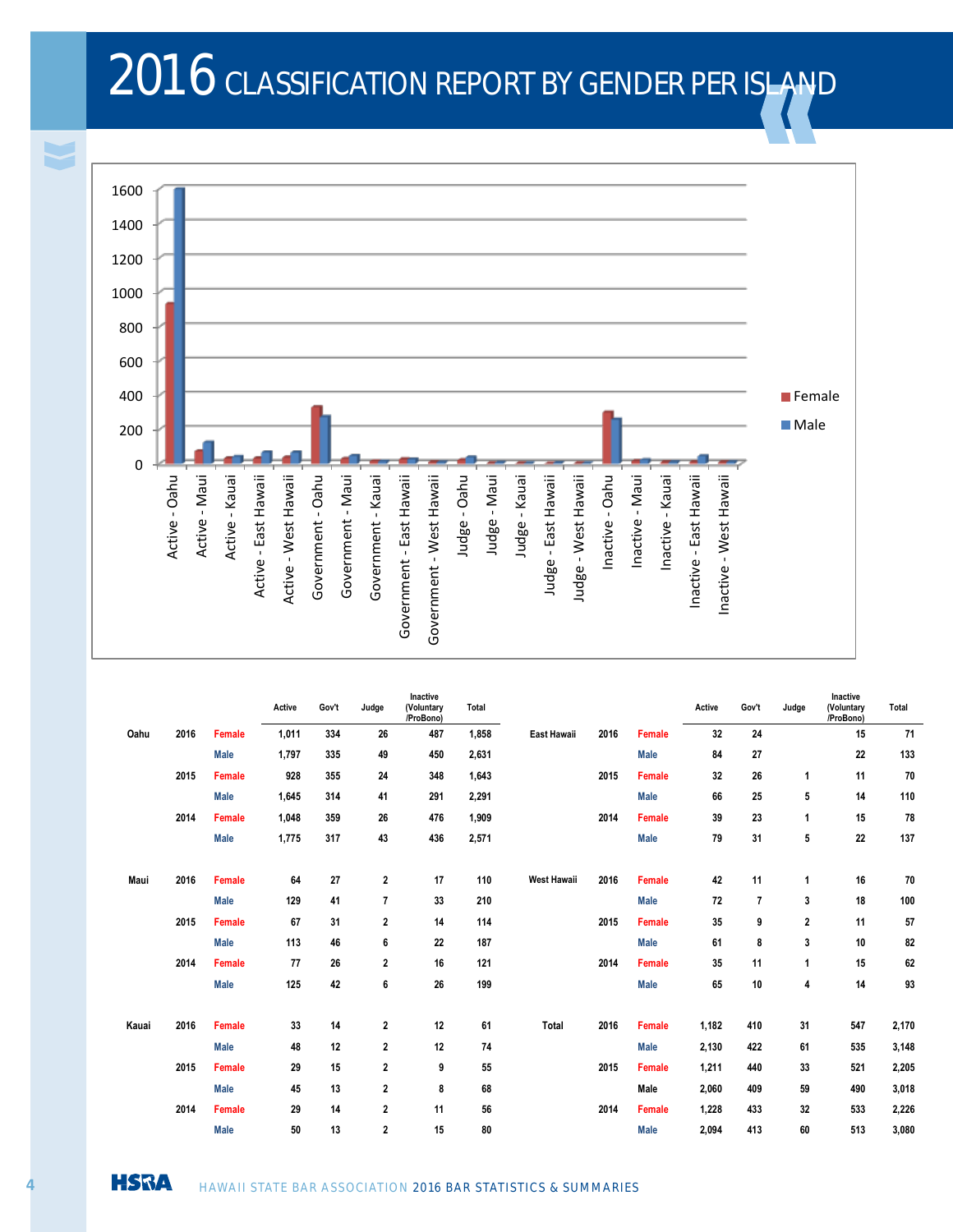## 2016 CLASSIFICATION REPORT BY GENDER PER ISLAND



|       |      |               | Active | Gov't | Judge                   | Inactive<br>(Voluntary<br>/ProBono) | Total |                    |      |               | Active | Gov't | Judge        | Inactive<br>(Voluntary<br>/ProBono) | Total |
|-------|------|---------------|--------|-------|-------------------------|-------------------------------------|-------|--------------------|------|---------------|--------|-------|--------------|-------------------------------------|-------|
| Oahu  | 2016 | <b>Female</b> | 1,011  | 334   | 26                      | 487                                 | 1,858 | East Hawaii        | 2016 | Female        | 32     | 24    |              | 15                                  | 71    |
|       |      | <b>Male</b>   | 1,797  | 335   | 49                      | 450                                 | 2,631 |                    |      | <b>Male</b>   | 84     | 27    |              | 22                                  | 133   |
|       | 2015 | <b>Female</b> | 928    | 355   | 24                      | 348                                 | 1,643 |                    | 2015 | <b>Female</b> | 32     | 26    | 1            | 11                                  | 70    |
|       |      | <b>Male</b>   | 1,645  | 314   | 41                      | 291                                 | 2,291 |                    |      | <b>Male</b>   | 66     | 25    | 5            | 14                                  | 110   |
|       | 2014 | <b>Female</b> | 1,048  | 359   | 26                      | 476                                 | 1,909 |                    | 2014 | <b>Female</b> | 39     | 23    | 1            | 15                                  | 78    |
|       |      | <b>Male</b>   | 1,775  | 317   | 43                      | 436                                 | 2,571 |                    |      | <b>Male</b>   | 79     | 31    | 5            | 22                                  | 137   |
| Maui  | 2016 | <b>Female</b> | 64     | 27    | $\mathbf{2}$            | 17                                  | 110   | <b>West Hawaii</b> | 2016 | <b>Female</b> | 42     | 11    | 1            | 16                                  | 70    |
|       |      | <b>Male</b>   | 129    | 41    | $\overline{1}$          | 33                                  | 210   |                    |      | <b>Male</b>   | 72     | 7     | 3            | 18                                  | 100   |
|       | 2015 | <b>Female</b> | 67     | 31    | $\mathbf{2}$            | 14                                  | 114   |                    | 2015 | <b>Female</b> | 35     | 9     | $\mathbf{2}$ | 11                                  | 57    |
|       |      | <b>Male</b>   | 113    | 46    | 6                       | 22                                  | 187   |                    |      | <b>Male</b>   | 61     | 8     | 3            | 10                                  | 82    |
|       | 2014 | Female        | 77     | 26    | 2                       | 16                                  | 121   |                    | 2014 | Female        | 35     | 11    | 1            | 15                                  | 62    |
|       |      | <b>Male</b>   | 125    | 42    | 6                       | 26                                  | 199   |                    |      | <b>Male</b>   | 65     | 10    | 4            | 14                                  | 93    |
| Kauai | 2016 | <b>Female</b> | 33     | 14    | 2                       | 12                                  | 61    | Total              | 2016 | Female        | 1,182  | 410   | 31           | 547                                 | 2,170 |
|       |      | <b>Male</b>   | 48     | 12    | $\mathbf{2}$            | 12                                  | 74    |                    |      | <b>Male</b>   | 2,130  | 422   | 61           | 535                                 | 3,148 |
|       | 2015 | Female        | 29     | 15    | $\mathbf{2}$            | 9                                   | 55    |                    | 2015 | Female        | 1,211  | 440   | 33           | 521                                 | 2,205 |
|       |      | <b>Male</b>   | 45     | 13    | $\mathbf{2}$            | 8                                   | 68    |                    |      | Male          | 2,060  | 409   | 59           | 490                                 | 3,018 |
|       | 2014 | Female        | 29     | 14    | $\mathbf{2}$            | 11                                  | 56    |                    | 2014 | Female        | 1,228  | 433   | 32           | 533                                 | 2,226 |
|       |      | <b>Male</b>   | 50     | 13    | $\overline{\mathbf{2}}$ | 15                                  | 80    |                    |      | <b>Male</b>   | 2,094  | 413   | 60           | 513                                 | 3,080 |



BREAKDOWN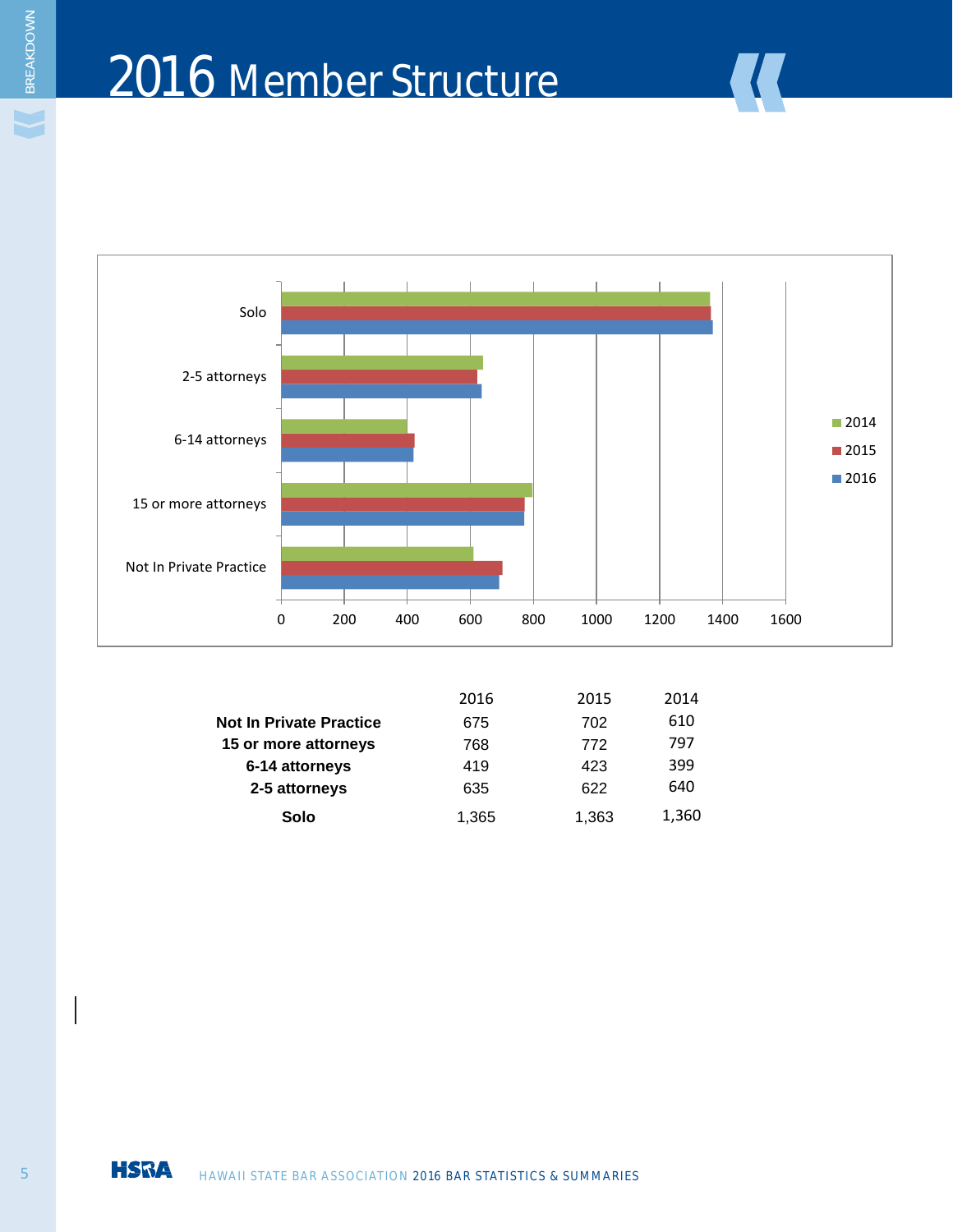### 2016 Member Structure



|                                | 2016  | 2015  | 2014  |
|--------------------------------|-------|-------|-------|
| <b>Not In Private Practice</b> | 675   | 702   | 610   |
| 15 or more attorneys           | 768   | 772   | 797   |
| 6-14 attorneys                 | 419   | 423   | 399   |
| 2-5 attorneys                  | 635   | 622   | 640   |
| Solo                           | 1,365 | 1,363 | 1,360 |
|                                |       |       |       |

BREAKDOWN

V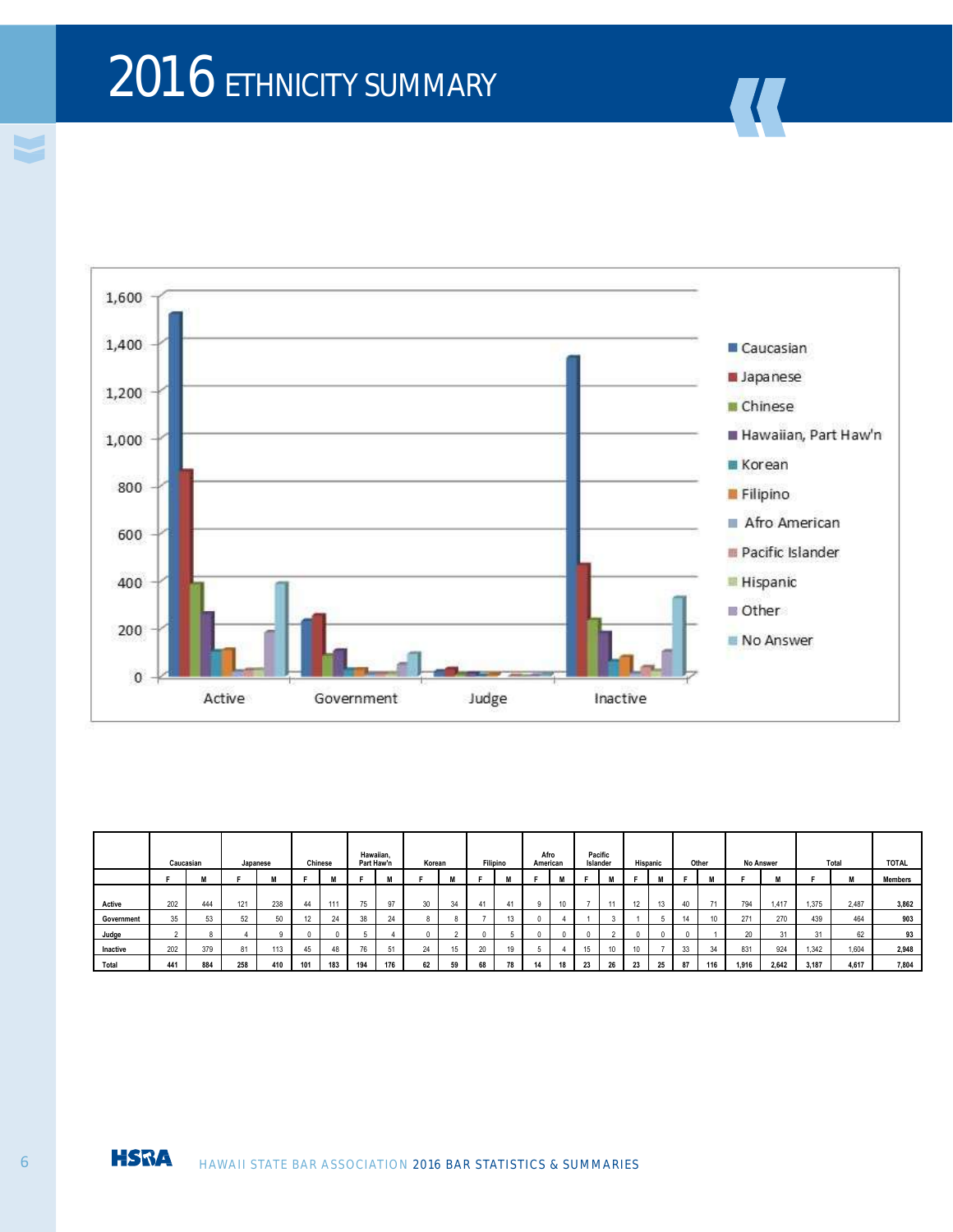# 2016 ETHNICITY SUMMARY



|            | Caucasian |     |     | Japanese |                | Chinese | Hawaiian. | Part Haw'n | Korean |    |    | Filipino | Afro<br>American |    |    | Pacific<br>Islander  |    | Hispanic |    | Other | <b>No Answer</b> |       |       | Total | <b>TOTAL</b>   |
|------------|-----------|-----|-----|----------|----------------|---------|-----------|------------|--------|----|----|----------|------------------|----|----|----------------------|----|----------|----|-------|------------------|-------|-------|-------|----------------|
|            |           | M   |     | M        |                | M       |           |            |        | M  |    | <b>A</b> |                  | M  |    |                      |    | M        |    | M     |                  | M     |       | M     | <b>Members</b> |
|            |           |     |     |          |                |         |           |            |        |    |    |          |                  |    |    |                      |    |          |    |       |                  |       |       |       |                |
| Active     | 202       | 444 | 121 | 238      | 44             | 111     | 75        | 97         | 30     | 34 | 41 | 41       | a                | 10 |    | $\ddot{\phantom{1}}$ | 12 | 13       |    | 71    | 794              | 1.417 | 1.375 | 2.487 | 3,862          |
| Government | 35        | 53  | 52  | 50       | $\overline{A}$ | 24      | 38        | 24         |        |    |    | 13       |                  |    |    |                      |    |          | 14 |       | 271              | 270   | 439   | 464   | 903            |
| Judge      |           |     |     |          |                |         |           |            |        |    |    |          |                  |    |    |                      |    | $\Omega$ |    |       | 20               | 31    | 31    | 62    | 93             |
| Inactive   | 202       | 379 | 81  | 113      | 45             | 48      | 76        | 51         | 24     | 15 | 20 | 19       |                  |    | 15 |                      |    |          | 33 | 34    | 831              | 924   | 1.342 | 1.604 | 2,948          |
| Total      | 441       | 884 | 258 | 410      | 101            | 183     | 194       | 176        | 62     | 59 | 68 | 78       | 14               | 18 | 23 | 26                   | 23 | 25       | 87 | 116   | 1.916            | 2.642 | 3.187 | 4,617 | 7,804          |



BREAKDOWN

V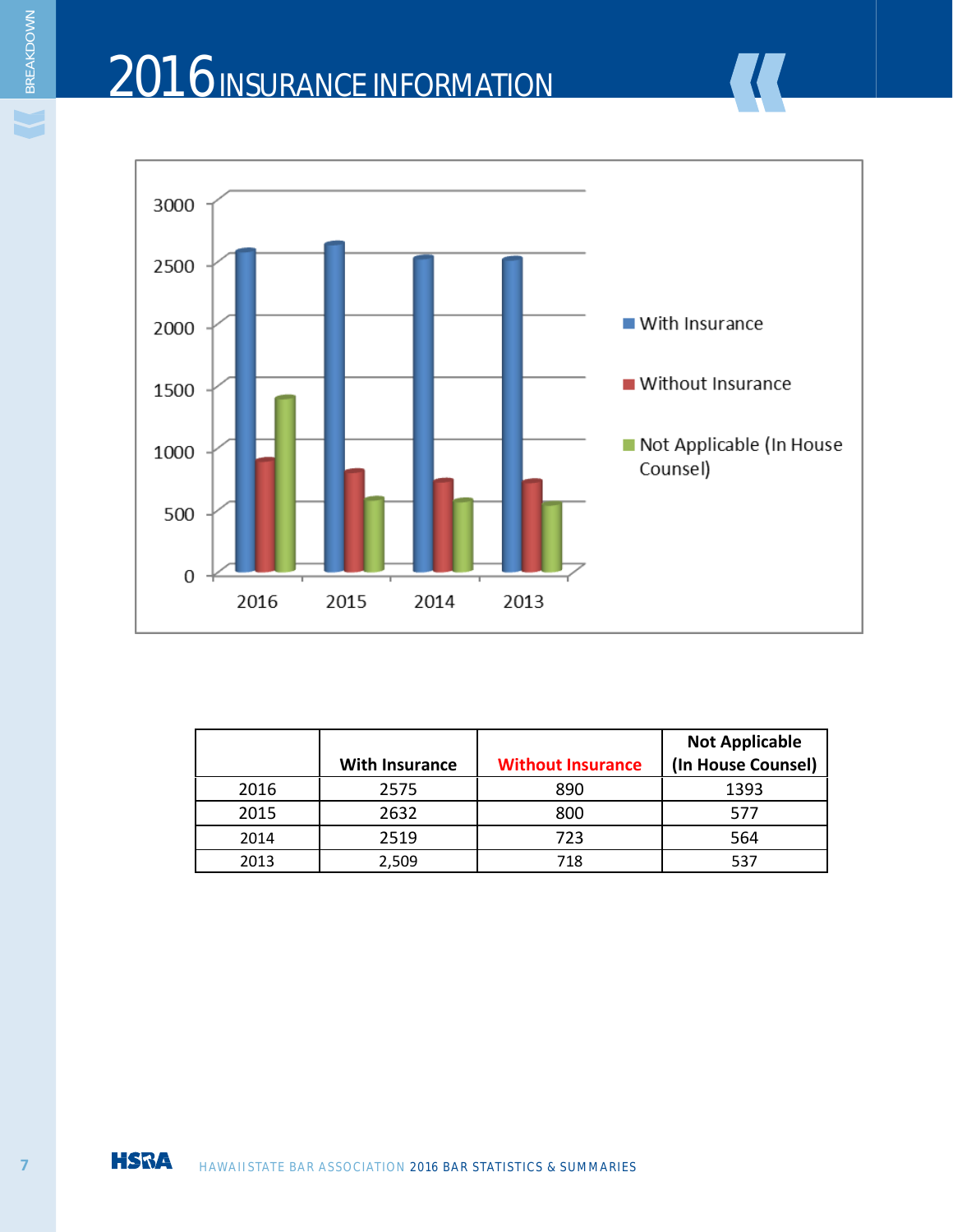

|      | <b>With Insurance</b> | <b>Without Insurance</b> | <b>Not Applicable</b><br>(In House Counsel) |
|------|-----------------------|--------------------------|---------------------------------------------|
| 2016 | 2575                  | 890                      | 1393                                        |
| 2015 | 2632                  | 800                      | 577                                         |
| 2014 | 2519                  | 723                      | 564                                         |
| 2013 | 2,509                 | 718                      | 537                                         |

¥

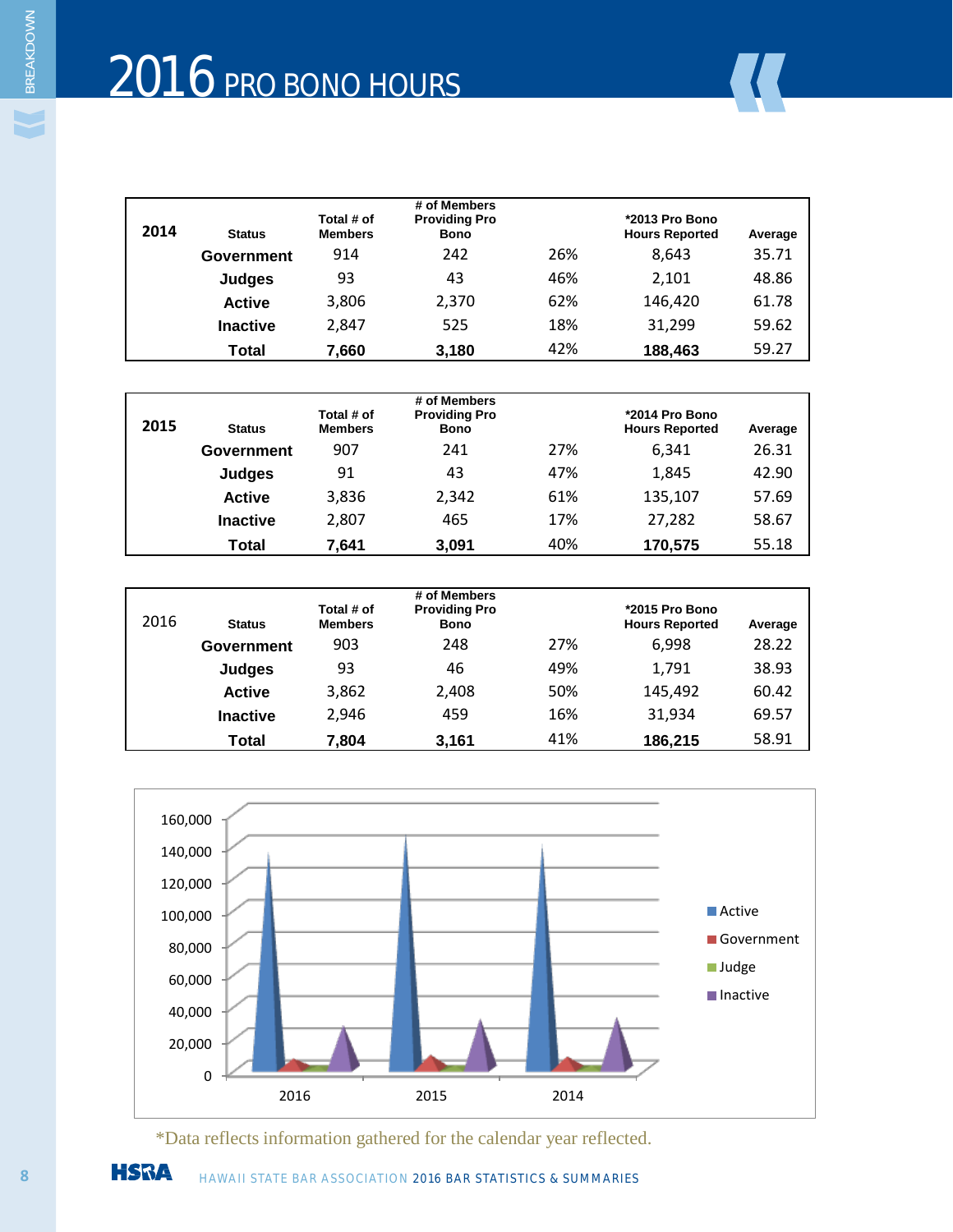| 2014 | <b>Status</b>   | Total # of<br><b>Members</b> | # of Members<br><b>Providing Pro</b><br><b>Bono</b> |     | *2013 Pro Bono<br><b>Hours Reported</b> | Average |
|------|-----------------|------------------------------|-----------------------------------------------------|-----|-----------------------------------------|---------|
|      | Government      | 914                          | 242                                                 | 26% | 8.643                                   | 35.71   |
|      | <b>Judges</b>   | 93                           | 43                                                  | 46% | 2,101                                   | 48.86   |
|      | <b>Active</b>   | 3,806                        | 2,370                                               | 62% | 146.420                                 | 61.78   |
|      | <b>Inactive</b> | 2.847                        | 525                                                 | 18% | 31.299                                  | 59.62   |
|      | Total           | 7,660                        | 3,180                                               | 42% | 188,463                                 | 59.27   |

| 2015 | <b>Status</b>   | Total # of<br><b>Members</b> | # of Members<br><b>Providing Pro</b><br><b>Bono</b> |     | *2014 Pro Bono<br><b>Hours Reported</b> | Average |
|------|-----------------|------------------------------|-----------------------------------------------------|-----|-----------------------------------------|---------|
|      | Government      | 907                          | 241                                                 | 27% | 6,341                                   | 26.31   |
|      | <b>Judges</b>   | 91                           | 43                                                  | 47% | 1.845                                   | 42.90   |
|      | <b>Active</b>   | 3,836                        | 2,342                                               | 61% | 135,107                                 | 57.69   |
|      | <b>Inactive</b> | 2,807                        | 465                                                 | 17% | 27.282                                  | 58.67   |
|      | Total           | 7,641                        | 3,091                                               | 40% | 170,575                                 | 55.18   |

| 2016 | <b>Status</b>   | Total # of<br><b>Members</b> | # of Members<br><b>Providing Pro</b><br><b>Bono</b> |     | *2015 Pro Bono<br><b>Hours Reported</b> | Average |
|------|-----------------|------------------------------|-----------------------------------------------------|-----|-----------------------------------------|---------|
|      | Government      | 903                          | 248                                                 | 27% | 6.998                                   | 28.22   |
|      | Judges          | 93                           | 46                                                  | 49% | 1.791                                   | 38.93   |
|      | <b>Active</b>   | 3,862                        | 2,408                                               | 50% | 145,492                                 | 60.42   |
|      | <b>Inactive</b> | 2,946                        | 459                                                 | 16% | 31.934                                  | 69.57   |
|      | Total           | 7,804                        | 3,161                                               | 41% | 186,215                                 | 58.91   |



\*Data reflects information gathered for the calendar year reflected.

**8 HSRA** HAWAII STATE BAR ASSOCIATION 2016 BAR STATISTICS & SUMMARIES

BREAKDOWN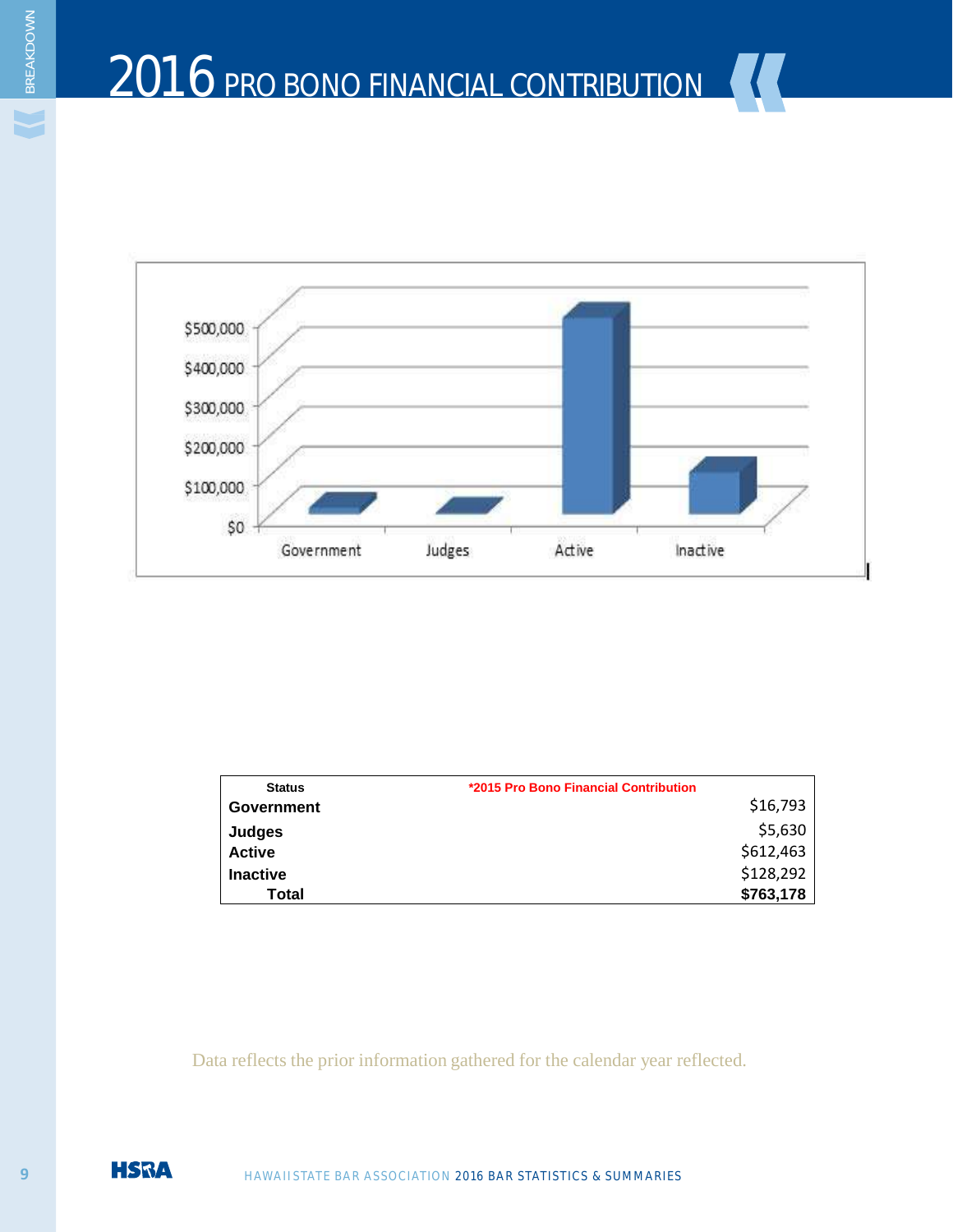

| <b>Status</b>   | *2015 Pro Bono Financial Contribution |
|-----------------|---------------------------------------|
| Government      | \$16,793                              |
| Judges          | \$5,630                               |
| <b>Active</b>   | \$612,463                             |
| <b>Inactive</b> | \$128,292                             |
| Total           | \$763,178                             |

Data reflects the prior information gathered for the calendar year reflected.



BREAKDOWN